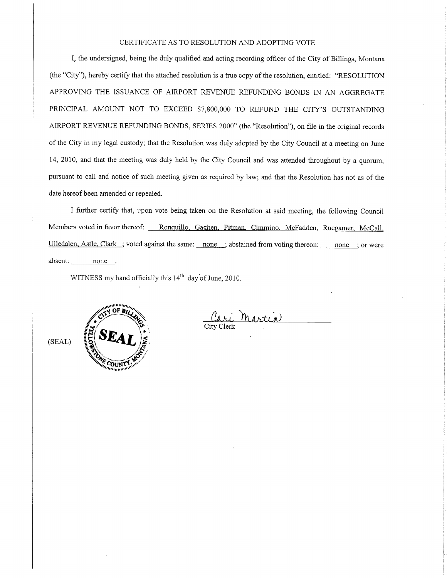## CERTIFICATE AS TO RESOLUTION AND ADOPTING VOTE

I, the undersigned, being the duly qualified and acting recording officer of the City of Billings, Montana (the "City"), hereby certify that the attached resolution is a true copy of the resolution, entitled: "RESOLUTION APPROVING THE ISSUANCE OF AIRPORT REVENUE REFUNDING BONDS IN AN AGGREGATE PRINCIPAL AMOUNT NOT TO EXCEED \$7,800,000 TO REFUND THE CITY'S OUTSTANDING AIRPORT REVENUE REFLINDING BONDS, SERIES 2000" (the "Resolution"), on file in the ongrnal records of the City in my legal custody, that the Resolution was duly adopted by the City Council at a meeting on June 14,2010, and that the meeting was duly held by the City Council and was attended throughout by a quorum, pursuant to call and notice of such meeting given as required by law; and that the Resolution has not as of the date hereof been amended or repealed.

I further certify that, upon vote being taken on the Resolution at said meeting, the following Council Members voted in favor thereof: Ronquillo, Gaghen. Pitman, Cimmino, McFadden, Ruegamer, McCall, Ulledalen. Astle. Clark ; voted against the same: none ; abstained from voting thereon: none ; or were absent: <u>none</u>.

WITNESS my hand officially this  $14<sup>th</sup>$  day of June, 2010.



Cari Marti City Clerk